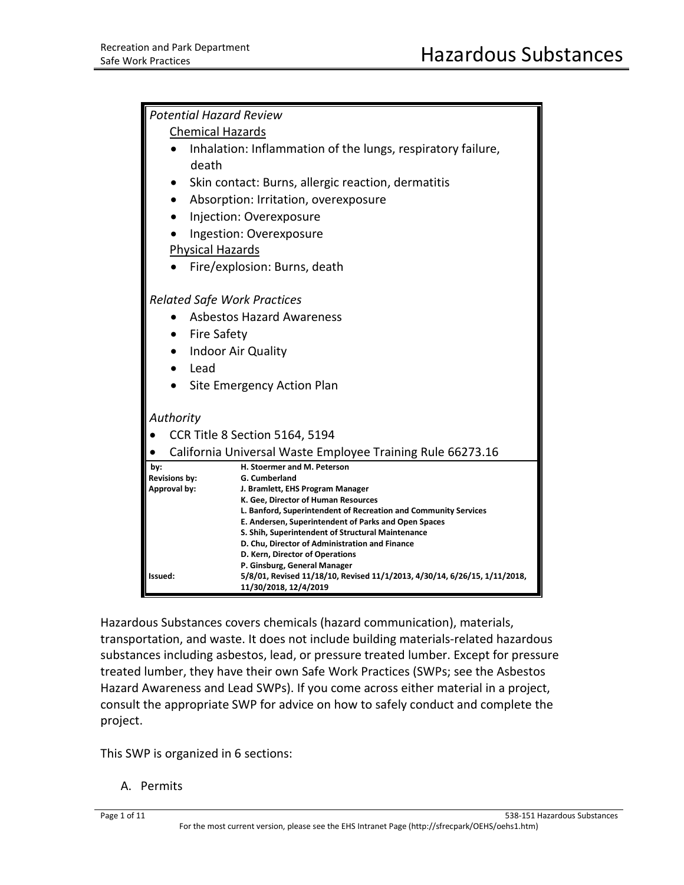| <b>Potential Hazard Review</b>                             |                                                                                                                         |  |
|------------------------------------------------------------|-------------------------------------------------------------------------------------------------------------------------|--|
| <b>Chemical Hazards</b>                                    |                                                                                                                         |  |
|                                                            | Inhalation: Inflammation of the lungs, respiratory failure,                                                             |  |
| death                                                      |                                                                                                                         |  |
|                                                            | Skin contact: Burns, allergic reaction, dermatitis                                                                      |  |
| $\bullet$                                                  | Absorption: Irritation, overexposure                                                                                    |  |
|                                                            | Injection: Overexposure                                                                                                 |  |
|                                                            | Ingestion: Overexposure                                                                                                 |  |
| <b>Physical Hazards</b>                                    |                                                                                                                         |  |
|                                                            | Fire/explosion: Burns, death                                                                                            |  |
|                                                            |                                                                                                                         |  |
| <b>Related Safe Work Practices</b>                         |                                                                                                                         |  |
|                                                            | <b>Asbestos Hazard Awareness</b>                                                                                        |  |
| <b>Fire Safety</b><br>$\bullet$                            |                                                                                                                         |  |
| Indoor Air Quality<br>$\bullet$                            |                                                                                                                         |  |
| Lead                                                       |                                                                                                                         |  |
| Site Emergency Action Plan<br>٠                            |                                                                                                                         |  |
|                                                            |                                                                                                                         |  |
| Authority                                                  |                                                                                                                         |  |
|                                                            | CCR Title 8 Section 5164, 5194                                                                                          |  |
| California Universal Waste Employee Training Rule 66273.16 |                                                                                                                         |  |
| by:                                                        | H. Stoermer and M. Peterson<br>G. Cumberland                                                                            |  |
| <b>Revisions by:</b><br>Approval by:                       | J. Bramlett, EHS Program Manager                                                                                        |  |
|                                                            | K. Gee, Director of Human Resources                                                                                     |  |
|                                                            | L. Banford, Superintendent of Recreation and Community Services<br>E. Andersen, Superintendent of Parks and Open Spaces |  |
|                                                            | S. Shih, Superintendent of Structural Maintenance                                                                       |  |
|                                                            | D. Chu, Director of Administration and Finance                                                                          |  |
|                                                            | D. Kern, Director of Operations<br>P. Ginsburg, General Manager                                                         |  |
| Issued:                                                    | 5/8/01, Revised 11/18/10, Revised 11/1/2013, 4/30/14, 6/26/15, 1/11/2018,                                               |  |
|                                                            | 11/30/2018, 12/4/2019                                                                                                   |  |

Hazardous Substances covers chemicals (hazard communication), materials, transportation, and waste. It does not include building materials-related hazardous substances including asbestos, lead, or pressure treated lumber. Except for pressure treated lumber, they have their own Safe Work Practices (SWPs; see the Asbestos Hazard Awareness and Lead SWPs). If you come across either material in a project, consult the appropriate SWP for advice on how to safely conduct and complete the project.

This SWP is organized in 6 sections:

A. Permits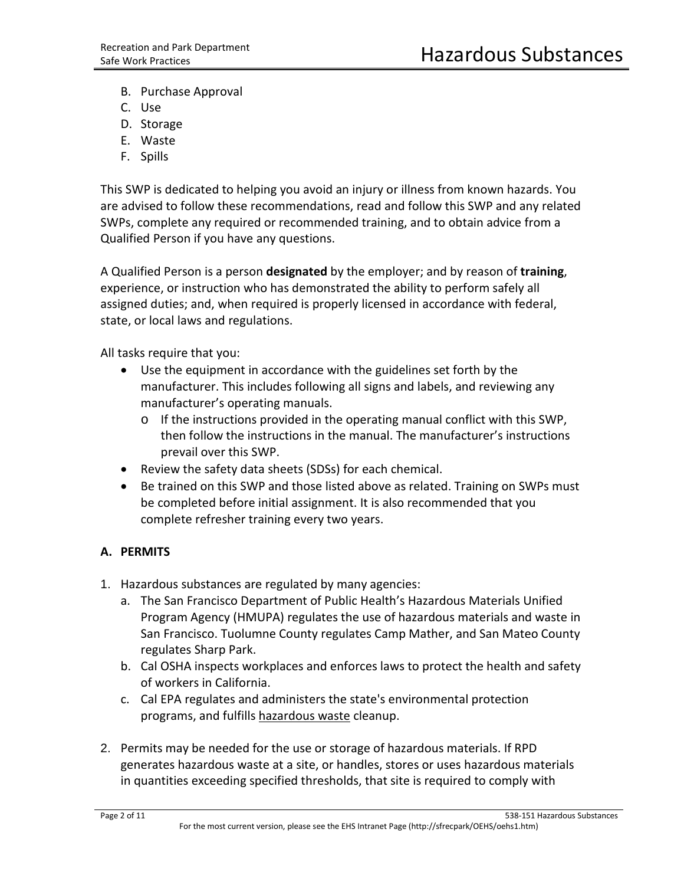- B. Purchase Approval
- C. Use
- D. Storage
- E. Waste
- F. Spills

This SWP is dedicated to helping you avoid an injury or illness from known hazards. You are advised to follow these recommendations, read and follow this SWP and any related SWPs, complete any required or recommended training, and to obtain advice from a Qualified Person if you have any questions.

A Qualified Person is a person **designated** by the employer; and by reason of **training**, experience, or instruction who has demonstrated the ability to perform safely all assigned duties; and, when required is properly licensed in accordance with federal, state, or local laws and regulations.

All tasks require that you:

- Use the equipment in accordance with the guidelines set forth by the manufacturer. This includes following all signs and labels, and reviewing any manufacturer's operating manuals.
	- o If the instructions provided in the operating manual conflict with this SWP, then follow the instructions in the manual. The manufacturer's instructions prevail over this SWP.
- Review the safety data sheets (SDSs) for each chemical.
- Be trained on this SWP and those listed above as related. Training on SWPs must be completed before initial assignment. It is also recommended that you complete refresher training every two years.

# **A. PERMITS**

- 1. Hazardous substances are regulated by many agencies:
	- a. The San Francisco Department of Public Health's Hazardous Materials Unified Program Agency (HMUPA) regulates the use of hazardous materials and waste in San Francisco. Tuolumne County regulates Camp Mather, and San Mateo County regulates Sharp Park.
	- b. Cal OSHA inspects workplaces and enforces laws to protect the health and safety of workers in California.
	- c. Cal EPA regulates and administers the state's environmental protection programs, and fulfills [hazardous waste](http://en.wikipedia.org/wiki/Hazardous_waste) cleanup.
- 2. Permits may be needed for the use or storage of hazardous materials. If RPD generates hazardous waste at a site, or handles, stores or uses hazardous materials in quantities exceeding specified thresholds, that site is required to comply with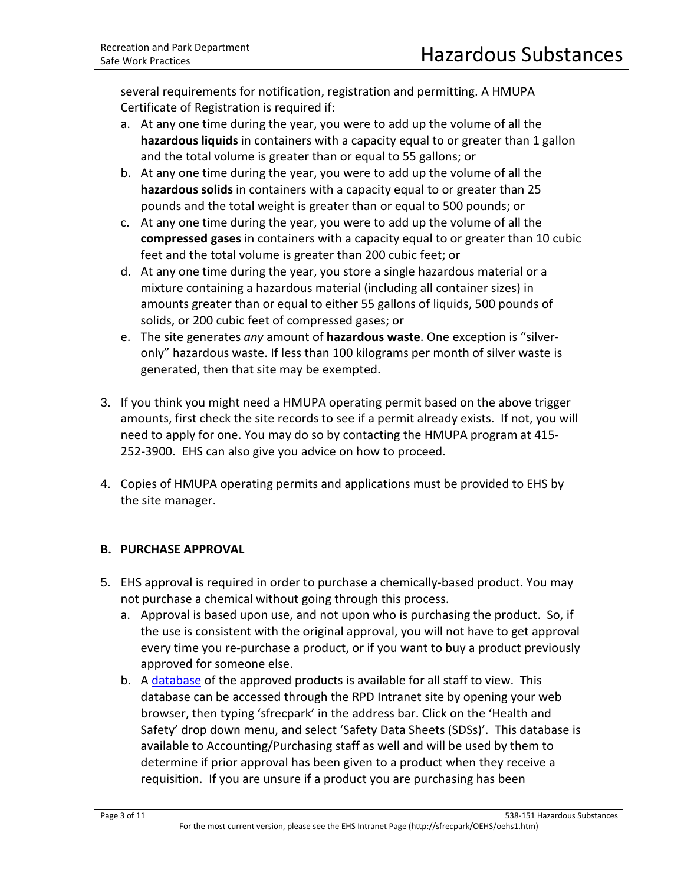several requirements for notification, registration and permitting. A HMUPA Certificate of Registration is required if:

- a. At any one time during the year, you were to add up the volume of all the **hazardous liquids** in containers with a capacity equal to or greater than 1 gallon and the total volume is greater than or equal to 55 gallons; or
- b. At any one time during the year, you were to add up the volume of all the **hazardous solids** in containers with a capacity equal to or greater than 25 pounds and the total weight is greater than or equal to 500 pounds; or
- c. At any one time during the year, you were to add up the volume of all the **compressed gases** in containers with a capacity equal to or greater than 10 cubic feet and the total volume is greater than 200 cubic feet; or
- d. At any one time during the year, you store a single hazardous material or a mixture containing a hazardous material (including all container sizes) in amounts greater than or equal to either 55 gallons of liquids, 500 pounds of solids, or 200 cubic feet of compressed gases; or
- e. The site generates *any* amount of **hazardous waste**. One exception is "silveronly" hazardous waste. If less than 100 kilograms per month of silver waste is generated, then that site may be exempted.
- 3. If you think you might need a HMUPA operating permit based on the above trigger amounts, first check the site records to see if a permit already exists. If not, you will need to apply for one. You may do so by contacting the HMUPA program at 415- 252-3900. EHS can also give you advice on how to proceed.
- 4. Copies of HMUPA operating permits and applications must be provided to EHS by the site manager.

# **B. PURCHASE APPROVAL**

- 5. EHS approval is required in order to purchase a chemically-based product. You may not purchase a chemical without going through this process.
	- a. Approval is based upon use, and not upon who is purchasing the product. So, if the use is consistent with the original approval, you will not have to get approval every time you re-purchase a product, or if you want to buy a product previously approved for someone else.
	- b. A [database](https://msdsmanagement.msdsonline.com/b49e699d-b0ba-4aad-b1bb-aa1d096d3cd0/ebinder/?nas=True) of the approved products is available for all staff to view. This database can be accessed through the RPD Intranet site by opening your web browser, then typing 'sfrecpark' in the address bar. Click on the 'Health and Safety' drop down menu, and select 'Safety Data Sheets (SDSs)'. This database is available to Accounting/Purchasing staff as well and will be used by them to determine if prior approval has been given to a product when they receive a requisition. If you are unsure if a product you are purchasing has been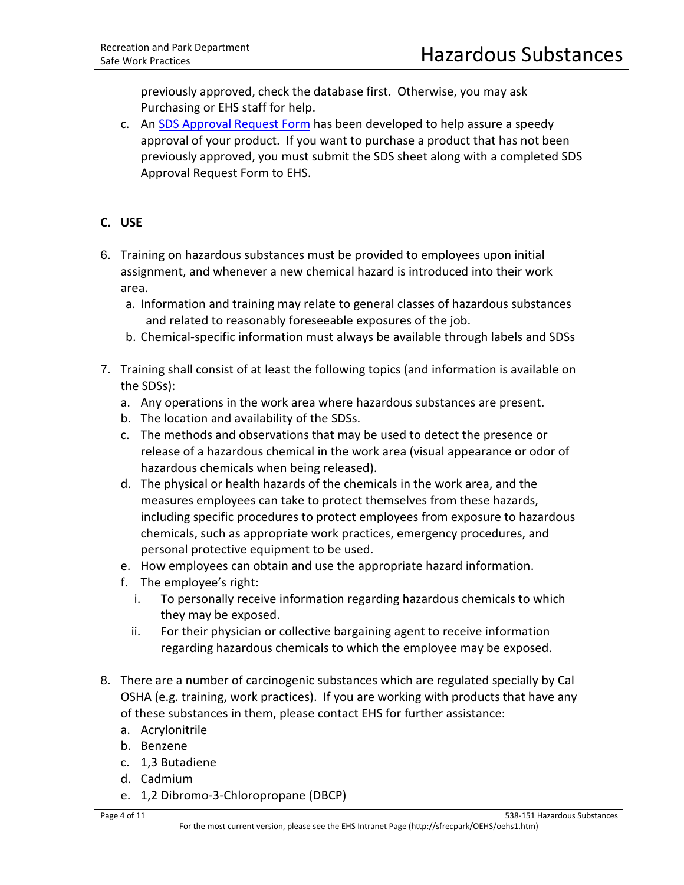previously approved, check the database first. Otherwise, you may ask Purchasing or EHS staff for help.

c. An [SDS Approval Request Form](http://rpd-vm-web01/sfrecpark/wp-content/uploads/125-013-SDS-Approval-Form.pdf) has been developed to help assure a speedy approval of your product. If you want to purchase a product that has not been previously approved, you must submit the SDS sheet along with a completed SDS Approval Request Form to EHS.

# **C. USE**

- 6. Training on hazardous substances must be provided to employees upon initial assignment, and whenever a new chemical hazard is introduced into their work area.
	- a. Information and training may relate to general classes of hazardous substances and related to reasonably foreseeable exposures of the job.
	- b. Chemical-specific information must always be available through labels and SDSs
- 7. Training shall consist of at least the following topics (and information is available on the SDSs):
	- a. Any operations in the work area where hazardous substances are present.
	- b. The location and availability of the SDSs.
	- c. The methods and observations that may be used to detect the presence or release of a hazardous chemical in the work area (visual appearance or odor of hazardous chemicals when being released).
	- d. The physical or health hazards of the chemicals in the work area, and the measures employees can take to protect themselves from these hazards, including specific procedures to protect employees from exposure to hazardous chemicals, such as appropriate work practices, emergency procedures, and personal protective equipment to be used.
	- e. How employees can obtain and use the appropriate hazard information.
	- f. The employee's right:
		- i. To personally receive information regarding hazardous chemicals to which they may be exposed.
		- ii. For their physician or collective bargaining agent to receive information regarding hazardous chemicals to which the employee may be exposed.
- 8. There are a number of carcinogenic substances which are regulated specially by Cal OSHA (e.g. training, work practices). If you are working with products that have any of these substances in them, please contact EHS for further assistance:
	- a. Acrylonitrile
	- b. Benzene
	- c. 1,3 Butadiene
	- d. Cadmium
	- e. 1,2 Dibromo-3-Chloropropane (DBCP)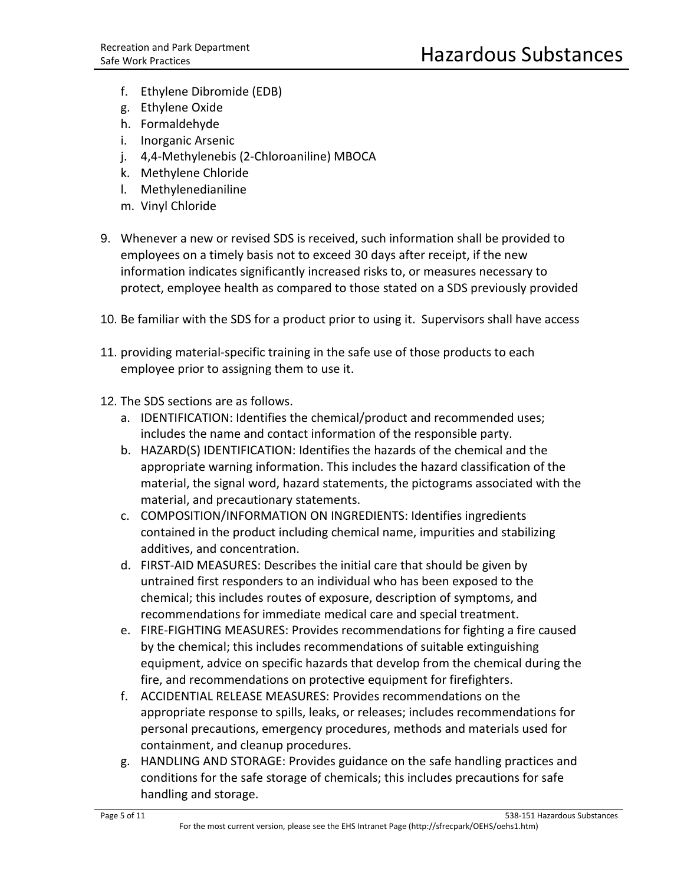- f. Ethylene Dibromide (EDB)
- g. Ethylene Oxide
- h. Formaldehyde
- i. Inorganic Arsenic
- j. 4,4-Methylenebis (2-Chloroaniline) MBOCA
- k. Methylene Chloride
- l. Methylenedianiline
- m. Vinyl Chloride
- 9. Whenever a new or revised SDS is received, such information shall be provided to employees on a timely basis not to exceed 30 days after receipt, if the new information indicates significantly increased risks to, or measures necessary to protect, employee health as compared to those stated on a SDS previously provided
- 10. Be familiar with the SDS for a product prior to using it. Supervisors shall have access
- 11. providing material-specific training in the safe use of those products to each employee prior to assigning them to use it.
- 12. The SDS sections are as follows.
	- a. IDENTIFICATION: Identifies the chemical/product and recommended uses; includes the name and contact information of the responsible party.
	- b. HAZARD(S) IDENTIFICATION: Identifies the hazards of the chemical and the appropriate warning information. This includes the hazard classification of the material, the signal word, hazard statements, the pictograms associated with the material, and precautionary statements.
	- c. COMPOSITION/INFORMATION ON INGREDIENTS: Identifies ingredients contained in the product including chemical name, impurities and stabilizing additives, and concentration.
	- d. FIRST-AID MEASURES: Describes the initial care that should be given by untrained first responders to an individual who has been exposed to the chemical; this includes routes of exposure, description of symptoms, and recommendations for immediate medical care and special treatment.
	- e. FIRE-FIGHTING MEASURES: Provides recommendations for fighting a fire caused by the chemical; this includes recommendations of suitable extinguishing equipment, advice on specific hazards that develop from the chemical during the fire, and recommendations on protective equipment for firefighters.
	- f. ACCIDENTIAL RELEASE MEASURES: Provides recommendations on the appropriate response to spills, leaks, or releases; includes recommendations for personal precautions, emergency procedures, methods and materials used for containment, and cleanup procedures.
	- g. HANDLING AND STORAGE: Provides guidance on the safe handling practices and conditions for the safe storage of chemicals; this includes precautions for safe handling and storage.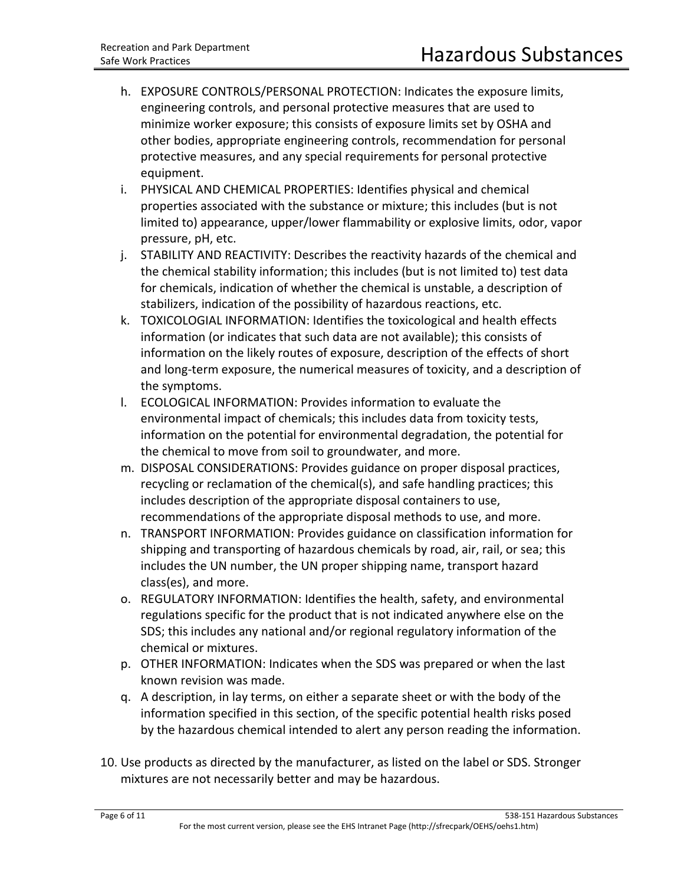- h. EXPOSURE CONTROLS/PERSONAL PROTECTION: Indicates the exposure limits, engineering controls, and personal protective measures that are used to minimize worker exposure; this consists of exposure limits set by OSHA and other bodies, appropriate engineering controls, recommendation for personal protective measures, and any special requirements for personal protective equipment.
- i. PHYSICAL AND CHEMICAL PROPERTIES: Identifies physical and chemical properties associated with the substance or mixture; this includes (but is not limited to) appearance, upper/lower flammability or explosive limits, odor, vapor pressure, pH, etc.
- j. STABILITY AND REACTIVITY: Describes the reactivity hazards of the chemical and the chemical stability information; this includes (but is not limited to) test data for chemicals, indication of whether the chemical is unstable, a description of stabilizers, indication of the possibility of hazardous reactions, etc.
- k. TOXICOLOGIAL INFORMATION: Identifies the toxicological and health effects information (or indicates that such data are not available); this consists of information on the likely routes of exposure, description of the effects of short and long-term exposure, the numerical measures of toxicity, and a description of the symptoms.
- l. ECOLOGICAL INFORMATION: Provides information to evaluate the environmental impact of chemicals; this includes data from toxicity tests, information on the potential for environmental degradation, the potential for the chemical to move from soil to groundwater, and more.
- m. DISPOSAL CONSIDERATIONS: Provides guidance on proper disposal practices, recycling or reclamation of the chemical(s), and safe handling practices; this includes description of the appropriate disposal containers to use, recommendations of the appropriate disposal methods to use, and more.
- n. TRANSPORT INFORMATION: Provides guidance on classification information for shipping and transporting of hazardous chemicals by road, air, rail, or sea; this includes the UN number, the UN proper shipping name, transport hazard class(es), and more.
- o. REGULATORY INFORMATION: Identifies the health, safety, and environmental regulations specific for the product that is not indicated anywhere else on the SDS; this includes any national and/or regional regulatory information of the chemical or mixtures.
- p. OTHER INFORMATION: Indicates when the SDS was prepared or when the last known revision was made.
- q. A description, in lay terms, on either a separate sheet or with the body of the information specified in this section, of the specific potential health risks posed by the hazardous chemical intended to alert any person reading the information.
- 10. Use products as directed by the manufacturer, as listed on the label or SDS. Stronger mixtures are not necessarily better and may be hazardous.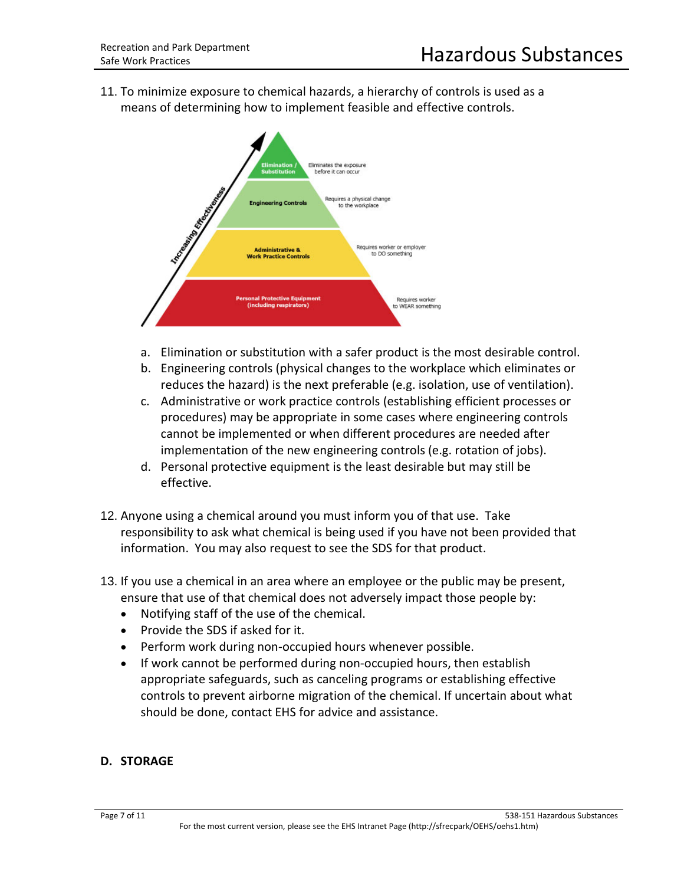11. To minimize exposure to chemical hazards, a hierarchy of controls is used as a means of determining how to implement feasible and effective controls.



- a. Elimination or substitution with a safer product is the most desirable control.
- b. Engineering controls (physical changes to the workplace which eliminates or reduces the hazard) is the next preferable (e.g. isolation, use of ventilation).
- c. Administrative or work practice controls (establishing efficient processes or procedures) may be appropriate in some cases where engineering controls cannot be implemented or when different procedures are needed after implementation of the new engineering controls (e.g. rotation of jobs).
- d. Personal protective equipment is the least desirable but may still be effective.
- 12. Anyone using a chemical around you must inform you of that use. Take responsibility to ask what chemical is being used if you have not been provided that information. You may also request to see the SDS for that product.
- 13. If you use a chemical in an area where an employee or the public may be present, ensure that use of that chemical does not adversely impact those people by:
	- Notifying staff of the use of the chemical.
	- Provide the SDS if asked for it.
	- Perform work during non-occupied hours whenever possible.
	- If work cannot be performed during non-occupied hours, then establish appropriate safeguards, such as canceling programs or establishing effective controls to prevent airborne migration of the chemical. If uncertain about what should be done, contact EHS for advice and assistance.

#### **D. STORAGE**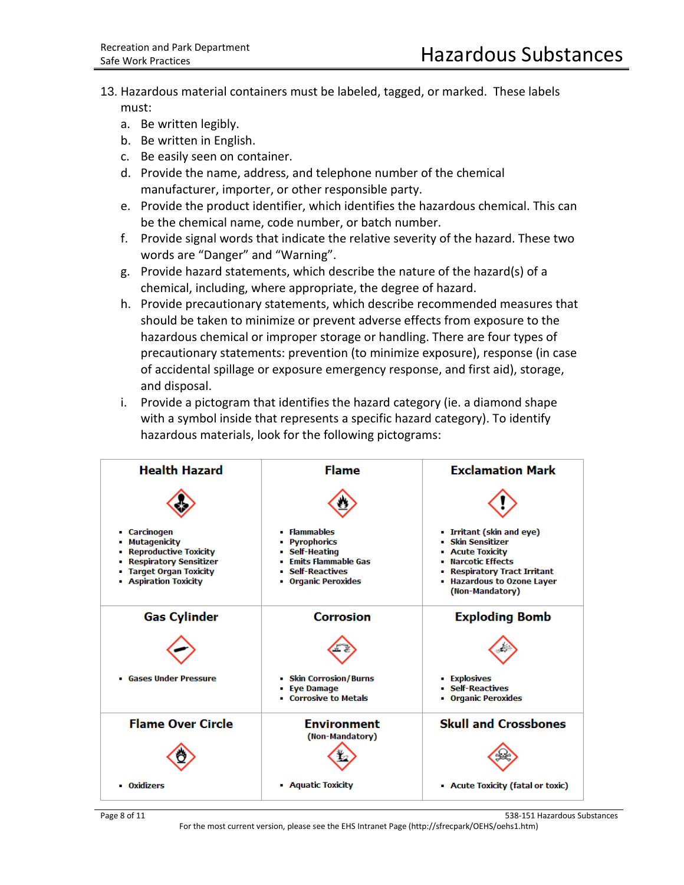- 13. Hazardous material containers must be labeled, tagged, or marked. These labels must:
	- a. Be written legibly.
	- b. Be written in English.
	- c. Be easily seen on container.
	- d. Provide the name, address, and telephone number of the chemical manufacturer, importer, or other responsible party.
	- e. Provide the product identifier, which identifies the hazardous chemical. This can be the chemical name, code number, or batch number.
	- f. Provide signal words that indicate the relative severity of the hazard. These two words are "Danger" and "Warning".
	- g. Provide hazard statements, which describe the nature of the hazard(s) of a chemical, including, where appropriate, the degree of hazard.
	- h. Provide precautionary statements, which describe recommended measures that should be taken to minimize or prevent adverse effects from exposure to the hazardous chemical or improper storage or handling. There are four types of precautionary statements: prevention (to minimize exposure), response (in case of accidental spillage or exposure emergency response, and first aid), storage, and disposal.
	- i. Provide a pictogram that identifies the hazard category (ie. a diamond shape with a symbol inside that represents a specific hazard category). To identify hazardous materials, look for the following pictograms:





For the most current version, please see the EHS Intranet Page (http://sfrecpark/OEHS/oehs1.htm)

Page 8 of 11 538-151 Hazardous Substances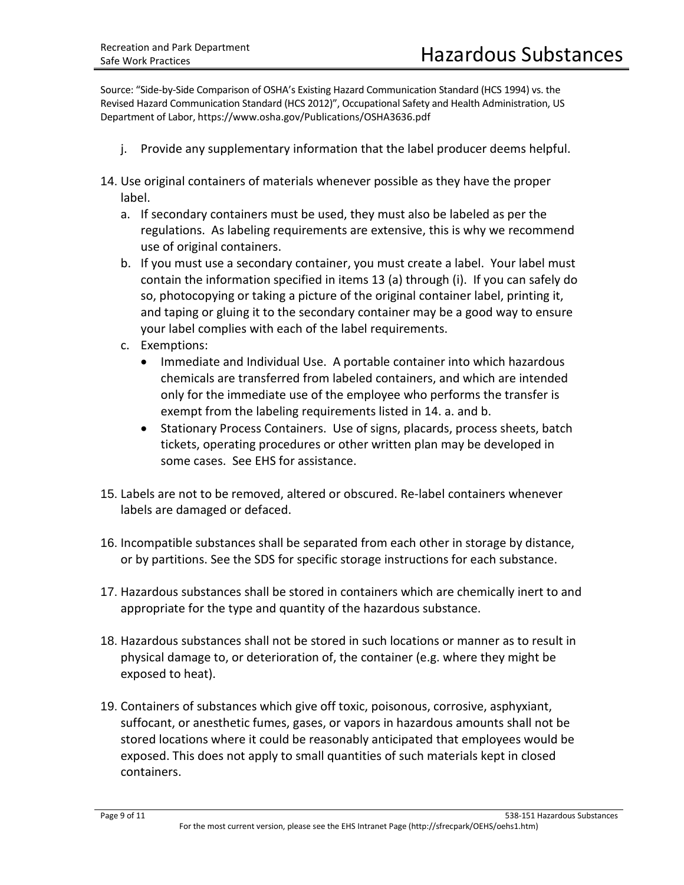Source: "Side-by-Side Comparison of OSHA's Existing Hazard Communication Standard (HCS 1994) vs. the Revised Hazard Communication Standard (HCS 2012)", Occupational Safety and Health Administration, US Department of Labor, https://www.osha.gov/Publications/OSHA3636.pdf

- j. Provide any supplementary information that the label producer deems helpful.
- 14. Use original containers of materials whenever possible as they have the proper label.
	- a. If secondary containers must be used, they must also be labeled as per the regulations. As labeling requirements are extensive, this is why we recommend use of original containers.
	- b. If you must use a secondary container, you must create a label. Your label must contain the information specified in items 13 (a) through (i). If you can safely do so, photocopying or taking a picture of the original container label, printing it, and taping or gluing it to the secondary container may be a good way to ensure your label complies with each of the label requirements.
	- c. Exemptions:
		- Immediate and Individual Use. A portable container into which hazardous chemicals are transferred from labeled containers, and which are intended only for the immediate use of the employee who performs the transfer is exempt from the labeling requirements listed in 14. a. and b.
		- Stationary Process Containers. Use of signs, placards, process sheets, batch tickets, operating procedures or other written plan may be developed in some cases. See EHS for assistance.
- 15. Labels are not to be removed, altered or obscured. Re-label containers whenever labels are damaged or defaced.
- 16. Incompatible substances shall be separated from each other in storage by distance, or by partitions. See the SDS for specific storage instructions for each substance.
- 17. Hazardous substances shall be stored in containers which are chemically inert to and appropriate for the type and quantity of the hazardous substance.
- 18. Hazardous substances shall not be stored in such locations or manner as to result in physical damage to, or deterioration of, the container (e.g. where they might be exposed to heat).
- 19. Containers of substances which give off toxic, poisonous, corrosive, asphyxiant, suffocant, or anesthetic fumes, gases, or vapors in hazardous amounts shall not be stored locations where it could be reasonably anticipated that employees would be exposed. This does not apply to small quantities of such materials kept in closed containers.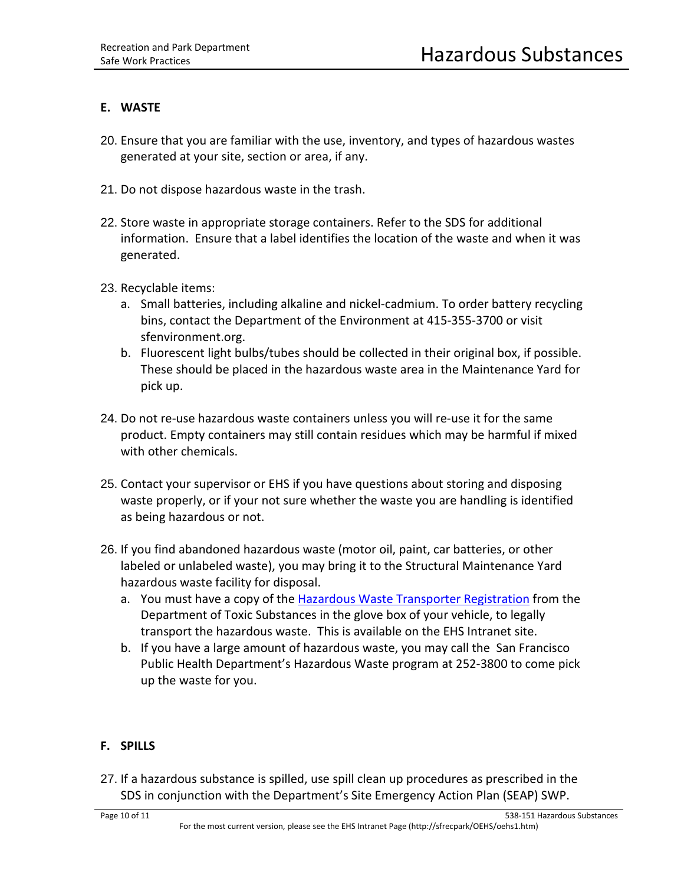### **E. WASTE**

- 20. Ensure that you are familiar with the use, inventory, and types of hazardous wastes generated at your site, section or area, if any.
- 21. Do not dispose hazardous waste in the trash.
- 22. Store waste in appropriate storage containers. Refer to the SDS for additional information. Ensure that a label identifies the location of the waste and when it was generated.
- 23. Recyclable items:
	- a. Small batteries, including alkaline and nickel-cadmium. To order battery recycling bins, contact the Department of the Environment at 415-355-3700 or visit sfenvironment.org.
	- b. Fluorescent light bulbs/tubes should be collected in their original box, if possible. These should be placed in the hazardous waste area in the Maintenance Yard for pick up.
- 24. Do not re-use hazardous waste containers unless you will re-use it for the same product. Empty containers may still contain residues which may be harmful if mixed with other chemicals.
- 25. Contact your supervisor or EHS if you have questions about storing and disposing waste properly, or if your not sure whether the waste you are handling is identified as being hazardous or not.
- 26. If you find abandoned hazardous waste (motor oil, paint, car batteries, or other labeled or unlabeled waste), you may bring it to the Structural Maintenance Yard hazardous waste facility for disposal.
	- a. You must have a copy of th[e Hazardous Waste Transporter Registration](file://Rpd-vm-fs01/groups$/EHS/Project%20Files/1501-1600/1575-023%202018-19%20dtsc%20tranport%20reg%20and%20variance%202384.pdf) from the Department of Toxic Substances in the glove box of your vehicle, to legally transport the hazardous waste. This is available on the EHS Intranet site.
	- b. If you have a large amount of hazardous waste, you may call the San Francisco Public Health Department's Hazardous Waste program at 252-3800 to come pick up the waste for you.

# **F. SPILLS**

27. If a hazardous substance is spilled, use spill clean up procedures as prescribed in the SDS in conjunction with the Department's Site Emergency Action Plan (SEAP) SWP.